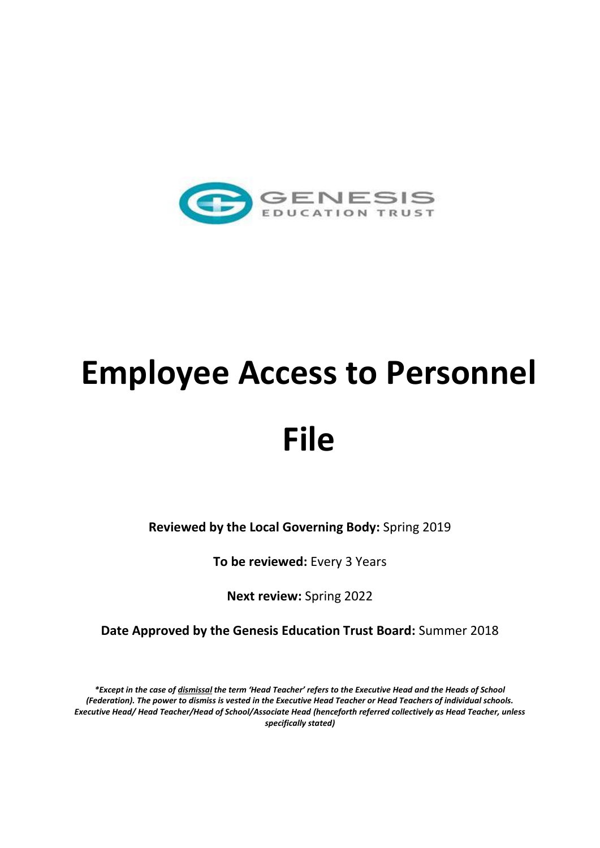

# **Employee Access to Personnel File**

**Reviewed by the Local Governing Body:** Spring 2019

**To be reviewed:** Every 3 Years

**Next review:** Spring 2022

**Date Approved by the Genesis Education Trust Board:** Summer 2018

*\*Except in the case of dismissal the term 'Head Teacher' refers to the Executive Head and the Heads of School (Federation). The power to dismiss is vested in the Executive Head Teacher or Head Teachers of individual schools. Executive Head/ Head Teacher/Head of School/Associate Head (henceforth referred collectively as Head Teacher, unless specifically stated)*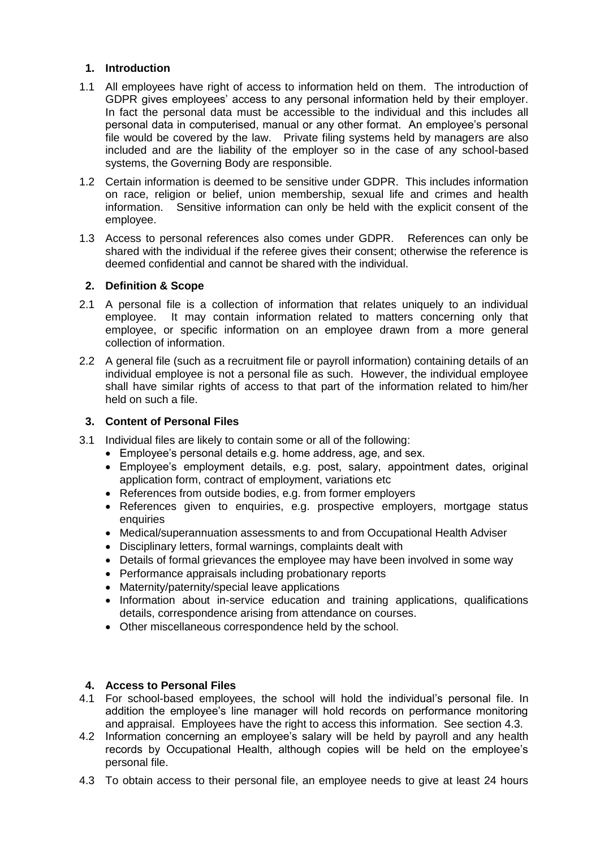## **1. Introduction**

- 1.1 All employees have right of access to information held on them. The introduction of GDPR gives employees' access to any personal information held by their employer. In fact the personal data must be accessible to the individual and this includes all personal data in computerised, manual or any other format. An employee's personal file would be covered by the law. Private filing systems held by managers are also included and are the liability of the employer so in the case of any school-based systems, the Governing Body are responsible.
- 1.2 Certain information is deemed to be sensitive under GDPR. This includes information on race, religion or belief, union membership, sexual life and crimes and health information. Sensitive information can only be held with the explicit consent of the employee.
- 1.3 Access to personal references also comes under GDPR. References can only be shared with the individual if the referee gives their consent; otherwise the reference is deemed confidential and cannot be shared with the individual.

## **2. Definition & Scope**

- 2.1 A personal file is a collection of information that relates uniquely to an individual employee. It may contain information related to matters concerning only that employee, or specific information on an employee drawn from a more general collection of information.
- 2.2 A general file (such as a recruitment file or payroll information) containing details of an individual employee is not a personal file as such. However, the individual employee shall have similar rights of access to that part of the information related to him/her held on such a file.

## **3. Content of Personal Files**

- 3.1 Individual files are likely to contain some or all of the following:
	- Employee's personal details e.g. home address, age, and sex.
	- Employee's employment details, e.g. post, salary, appointment dates, original application form, contract of employment, variations etc
	- References from outside bodies, e.g. from former employers
	- References given to enquiries, e.g. prospective employers, mortgage status enquiries
	- Medical/superannuation assessments to and from Occupational Health Adviser
	- Disciplinary letters, formal warnings, complaints dealt with
	- Details of formal grievances the employee may have been involved in some way
	- Performance appraisals including probationary reports
	- Maternity/paternity/special leave applications
	- Information about in-service education and training applications, qualifications details, correspondence arising from attendance on courses.
	- Other miscellaneous correspondence held by the school.

#### **4. Access to Personal Files**

- 4.1 For school-based employees, the school will hold the individual's personal file. In addition the employee's line manager will hold records on performance monitoring and appraisal. Employees have the right to access this information. See section 4.3.
- 4.2 Information concerning an employee's salary will be held by payroll and any health records by Occupational Health, although copies will be held on the employee's personal file.
- 4.3 To obtain access to their personal file, an employee needs to give at least 24 hours